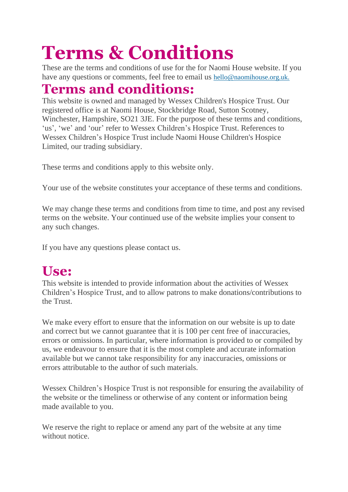# **Terms & Conditions**

These are the terms and conditions of use for the for Naomi House website. If you have any questions or comments, feel free to email us [hello@naomihouse.org.uk.](mailto:hello@naomihouse.org.uk)

#### **Terms and conditions:**

This website is owned and managed by Wessex Children's Hospice Trust. Our registered office is at Naomi House, Stockbridge Road, Sutton Scotney, Winchester, Hampshire, SO21 3JE. For the purpose of these terms and conditions, 'us', 'we' and 'our' refer to Wessex Children's Hospice Trust. References to Wessex Children's Hospice Trust include Naomi House Children's Hospice Limited, our trading subsidiary.

These terms and conditions apply to this website only.

Your use of the website constitutes your acceptance of these terms and conditions.

We may change these terms and conditions from time to time, and post any revised terms on the website. Your continued use of the website implies your consent to any such changes.

If you have any questions please contact us.

### **Use:**

This website is intended to provide information about the activities of Wessex Children's Hospice Trust, and to allow patrons to make donations/contributions to the Trust.

We make every effort to ensure that the information on our website is up to date and correct but we cannot guarantee that it is 100 per cent free of inaccuracies, errors or omissions. In particular, where information is provided to or compiled by us, we endeavour to ensure that it is the most complete and accurate information available but we cannot take responsibility for any inaccuracies, omissions or errors attributable to the author of such materials.

Wessex Children's Hospice Trust is not responsible for ensuring the availability of the website or the timeliness or otherwise of any content or information being made available to you.

We reserve the right to replace or amend any part of the website at any time without notice.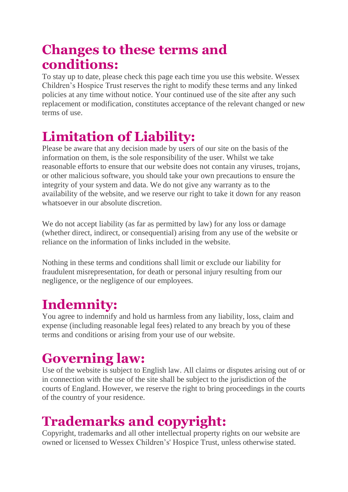#### **Changes to these terms and conditions:**

To stay up to date, please check this page each time you use this website. Wessex Children's Hospice Trust reserves the right to modify these terms and any linked policies at any time without notice. Your continued use of the site after any such replacement or modification, constitutes acceptance of the relevant changed or new terms of use.

## **Limitation of Liability:**

Please be aware that any decision made by users of our site on the basis of the information on them, is the sole responsibility of the user. Whilst we take reasonable efforts to ensure that our website does not contain any viruses, trojans, or other malicious software, you should take your own precautions to ensure the integrity of your system and data. We do not give any warranty as to the availability of the website, and we reserve our right to take it down for any reason whatsoever in our absolute discretion.

We do not accept liability (as far as permitted by law) for any loss or damage (whether direct, indirect, or consequential) arising from any use of the website or reliance on the information of links included in the website.

Nothing in these terms and conditions shall limit or exclude our liability for fraudulent misrepresentation, for death or personal injury resulting from our negligence, or the negligence of our employees.

# **Indemnity:**

You agree to indemnify and hold us harmless from any liability, loss, claim and expense (including reasonable legal fees) related to any breach by you of these terms and conditions or arising from your use of our website.

# **Governing law:**

Use of the website is subject to English law. All claims or disputes arising out of or in connection with the use of the site shall be subject to the jurisdiction of the courts of England. However, we reserve the right to bring proceedings in the courts of the country of your residence.

# **Trademarks and copyright:**

Copyright, trademarks and all other intellectual property rights on our website are owned or licensed to Wessex Children's' Hospice Trust, unless otherwise stated.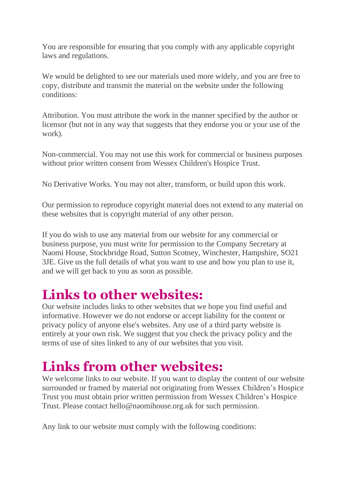You are responsible for ensuring that you comply with any applicable copyright laws and regulations.

We would be delighted to see our materials used more widely, and you are free to copy, distribute and transmit the material on the website under the following conditions:

Attribution. You must attribute the work in the manner specified by the author or licensor (but not in any way that suggests that they endorse you or your use of the work).

Non-commercial. You may not use this work for commercial or business purposes without prior written consent from Wessex Children's Hospice Trust.

No Derivative Works. You may not alter, transform, or build upon this work.

Our permission to reproduce copyright material does not extend to any material on these websites that is copyright material of any other person.

If you do wish to use any material from our website for any commercial or business purpose, you must write for permission to the Company Secretary at Naomi House, Stockbridge Road, Sutton Scotney, Winchester, Hampshire, SO21 3JE. Give us the full details of what you want to use and how you plan to use it, and we will get back to you as soon as possible.

### **Links to other websites:**

Our website includes links to other websites that we hope you find useful and informative. However we do not endorse or accept liability for the content or privacy policy of anyone else's websites. Any use of a third party website is entirely at your own risk. We suggest that you check the privacy policy and the terms of use of sites linked to any of our websites that you visit.

### **Links from other websites:**

We welcome links to our website. If you want to display the content of our website surrounded or framed by material not originating from Wessex Children's Hospice Trust you must obtain prior written permission from Wessex Children's Hospice Trust. Please contact hello@naomihouse.org.uk for such permission.

Any link to our website must comply with the following conditions: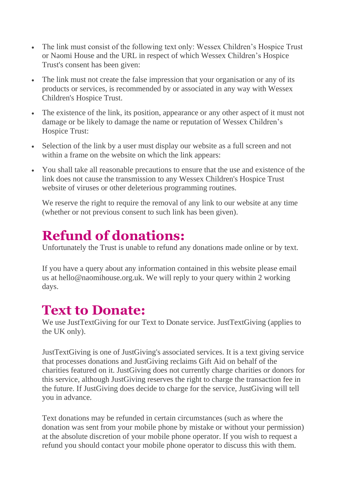- The link must consist of the following text only: Wessex Children's Hospice Trust or Naomi House and the URL in respect of which Wessex Children's Hospice Trust's consent has been given:
- The link must not create the false impression that your organisation or any of its products or services, is recommended by or associated in any way with Wessex Children's Hospice Trust.
- The existence of the link, its position, appearance or any other aspect of it must not damage or be likely to damage the name or reputation of Wessex Children's Hospice Trust:
- Selection of the link by a user must display our website as a full screen and not within a frame on the website on which the link appears:
- You shall take all reasonable precautions to ensure that the use and existence of the link does not cause the transmission to any Wessex Children's Hospice Trust website of viruses or other deleterious programming routines.

We reserve the right to require the removal of any link to our website at any time (whether or not previous consent to such link has been given).

### **Refund of donations:**

Unfortunately the Trust is unable to refund any donations made online or by text.

If you have a query about any information contained in this website please email us at hello@naomihouse.org.uk. We will reply to your query within 2 working days.

#### **Text to Donate:**

We use JustTextGiving for our Text to Donate service. JustTextGiving (applies to the UK only).

JustTextGiving is one of JustGiving's associated services. It is a text giving service that processes donations and JustGiving reclaims Gift Aid on behalf of the charities featured on it. JustGiving does not currently charge charities or donors for this service, although JustGiving reserves the right to charge the transaction fee in the future. If JustGiving does decide to charge for the service, JustGiving will tell you in advance.

Text donations may be refunded in certain circumstances (such as where the donation was sent from your mobile phone by mistake or without your permission) at the absolute discretion of your mobile phone operator. If you wish to request a refund you should contact your mobile phone operator to discuss this with them.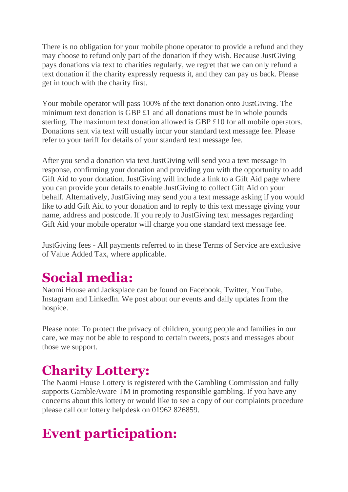There is no obligation for your mobile phone operator to provide a refund and they may choose to refund only part of the donation if they wish. Because JustGiving pays donations via text to charities regularly, we regret that we can only refund a text donation if the charity expressly requests it, and they can pay us back. Please get in touch with the charity first.

Your mobile operator will pass 100% of the text donation onto JustGiving. The minimum text donation is GBP £1 and all donations must be in whole pounds sterling. The maximum text donation allowed is GBP £10 for all mobile operators. Donations sent via text will usually incur your standard text message fee. Please refer to your tariff for details of your standard text message fee.

After you send a donation via text JustGiving will send you a text message in response, confirming your donation and providing you with the opportunity to add Gift Aid to your donation. JustGiving will include a link to a Gift Aid page where you can provide your details to enable JustGiving to collect Gift Aid on your behalf. Alternatively, JustGiving may send you a text message asking if you would like to add Gift Aid to your donation and to reply to this text message giving your name, address and postcode. If you reply to JustGiving text messages regarding Gift Aid your mobile operator will charge you one standard text message fee.

JustGiving fees - All payments referred to in these Terms of Service are exclusive of Value Added Tax, where applicable.

### **Social media:**

Naomi House and Jacksplace can be found on Facebook, Twitter, YouTube, Instagram and LinkedIn. We post about our events and daily updates from the hospice.

Please note: To protect the privacy of children, young people and families in our care, we may not be able to respond to certain tweets, posts and messages about those we support.

# **Charity Lottery:**

The Naomi House Lottery is registered with the Gambling Commission and fully supports GambleAware TM in promoting responsible gambling. If you have any concerns about this lottery or would like to see a copy of our complaints procedure please call our lottery helpdesk on 01962 826859.

# **Event participation:**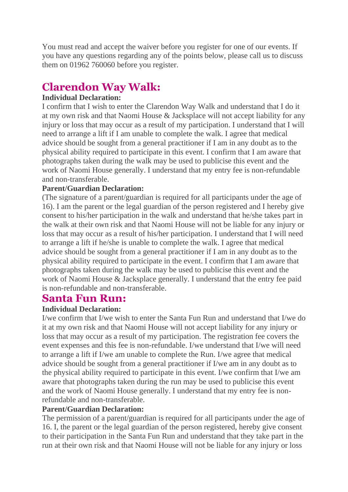You must read and accept the waiver before you register for one of our events. If you have any questions regarding any of the points below, please call us to discuss them on 01962 760060 before you register.

#### **Clarendon Way Walk:**

#### **Individual Declaration:**

I confirm that I wish to enter the Clarendon Way Walk and understand that I do it at my own risk and that Naomi House & Jacksplace will not accept liability for any injury or loss that may occur as a result of my participation. I understand that I will need to arrange a lift if I am unable to complete the walk. I agree that medical advice should be sought from a general practitioner if I am in any doubt as to the physical ability required to participate in this event. I confirm that I am aware that photographs taken during the walk may be used to publicise this event and the work of Naomi House generally. I understand that my entry fee is non-refundable and non-transferable.

#### **Parent/Guardian Declaration:**

(The signature of a parent/guardian is required for all participants under the age of 16). I am the parent or the legal guardian of the person registered and I hereby give consent to his/her participation in the walk and understand that he/she takes part in the walk at their own risk and that Naomi House will not be liable for any injury or loss that may occur as a result of his/her participation. I understand that I will need to arrange a lift if he/she is unable to complete the walk. I agree that medical advice should be sought from a general practitioner if I am in any doubt as to the physical ability required to participate in the event. I confirm that I am aware that photographs taken during the walk may be used to publicise this event and the work of Naomi House & Jacksplace generally. I understand that the entry fee paid is non-refundable and non-transferable.

#### **Santa Fun Run:**

#### **Individual Declaration:**

I/we confirm that I/we wish to enter the Santa Fun Run and understand that I/we do it at my own risk and that Naomi House will not accept liability for any injury or loss that may occur as a result of my participation. The registration fee covers the event expenses and this fee is non-refundable. I/we understand that I/we will need to arrange a lift if I/we am unable to complete the Run. I/we agree that medical advice should be sought from a general practitioner if I/we am in any doubt as to the physical ability required to participate in this event. I/we confirm that I/we am aware that photographs taken during the run may be used to publicise this event and the work of Naomi House generally. I understand that my entry fee is nonrefundable and non-transferable.

#### **Parent/Guardian Declaration:**

The permission of a parent/guardian is required for all participants under the age of 16. I, the parent or the legal guardian of the person registered, hereby give consent to their participation in the Santa Fun Run and understand that they take part in the run at their own risk and that Naomi House will not be liable for any injury or loss